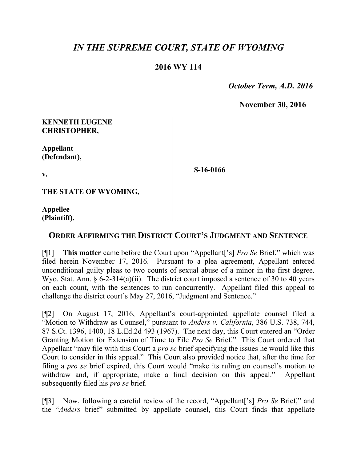# *IN THE SUPREME COURT, STATE OF WYOMING*

### **2016 WY 114**

 *October Term, A.D. 2016*

**November 30, 2016**

#### **KENNETH EUGENE CHRISTOPHER,**

**Appellant (Defendant),**

**v.**

**S-16-0166**

**THE STATE OF WYOMING,**

**Appellee (Plaintiff).**

## **ORDER AFFIRMING THE DISTRICT COURT'S JUDGMENT AND SENTENCE**

[¶1] **This matter** came before the Court upon "Appellant['s] *Pro Se* Brief," which was filed herein November 17, 2016. Pursuant to a plea agreement, Appellant entered unconditional guilty pleas to two counts of sexual abuse of a minor in the first degree. Wyo. Stat. Ann.  $\S 6$ -2-314(a)(ii). The district court imposed a sentence of 30 to 40 years on each count, with the sentences to run concurrently. Appellant filed this appeal to challenge the district court's May 27, 2016, "Judgment and Sentence."

[¶2] On August 17, 2016, Appellant's court-appointed appellate counsel filed a "Motion to Withdraw as Counsel," pursuant to *Anders v. California*, 386 U.S. 738, 744, 87 S.Ct. 1396, 1400, 18 L.Ed.2d 493 (1967). The next day, this Court entered an "Order Granting Motion for Extension of Time to File *Pro Se* Brief." This Court ordered that Appellant "may file with this Court a *pro se* brief specifying the issues he would like this Court to consider in this appeal." This Court also provided notice that, after the time for filing a *pro se* brief expired, this Court would "make its ruling on counsel's motion to withdraw and, if appropriate, make a final decision on this appeal." Appellant subsequently filed his *pro se* brief.

[¶3] Now, following a careful review of the record, "Appellant['s] *Pro Se* Brief," and the "*Anders* brief" submitted by appellate counsel, this Court finds that appellate